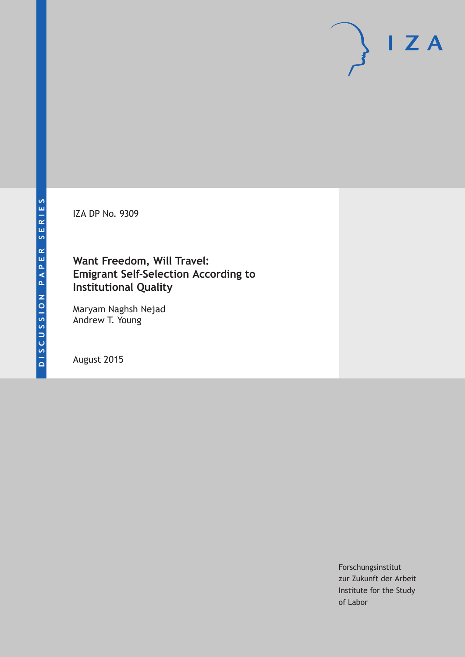IZA DP No. 9309

## **Want Freedom, Will Travel: Emigrant Self-Selection According to Institutional Quality**

Maryam Naghsh Nejad Andrew T. Young

August 2015

Forschungsinstitut zur Zukunft der Arbeit Institute for the Study of Labor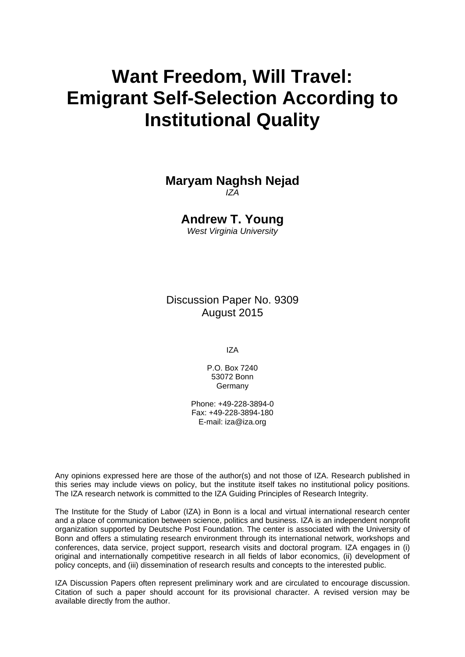# **Want Freedom, Will Travel: Emigrant Self-Selection According to Institutional Quality**

### **Maryam Naghsh Nejad**  *IZA*

**Andrew T. Young** 

*West Virginia University* 

Discussion Paper No. 9309 August 2015

IZA

P.O. Box 7240 53072 Bonn Germany

Phone: +49-228-3894-0 Fax: +49-228-3894-180 E-mail: iza@iza.org

Any opinions expressed here are those of the author(s) and not those of IZA. Research published in this series may include views on policy, but the institute itself takes no institutional policy positions. The IZA research network is committed to the IZA Guiding Principles of Research Integrity.

The Institute for the Study of Labor (IZA) in Bonn is a local and virtual international research center and a place of communication between science, politics and business. IZA is an independent nonprofit organization supported by Deutsche Post Foundation. The center is associated with the University of Bonn and offers a stimulating research environment through its international network, workshops and conferences, data service, project support, research visits and doctoral program. IZA engages in (i) original and internationally competitive research in all fields of labor economics, (ii) development of policy concepts, and (iii) dissemination of research results and concepts to the interested public.

IZA Discussion Papers often represent preliminary work and are circulated to encourage discussion. Citation of such a paper should account for its provisional character. A revised version may be available directly from the author.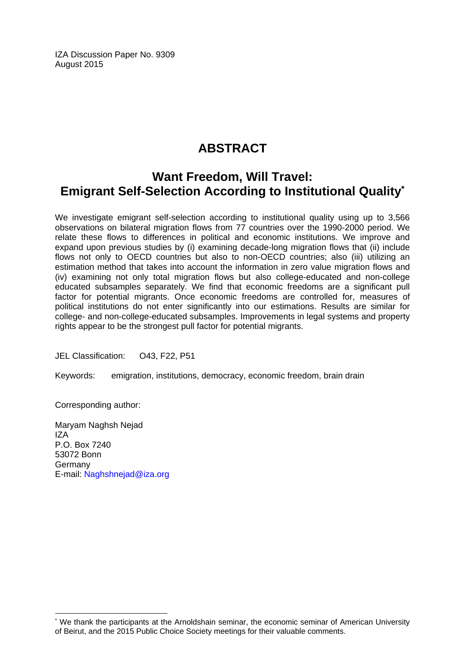IZA Discussion Paper No. 9309 August 2015

## **ABSTRACT**

## **Want Freedom, Will Travel: Emigrant Self-Selection According to Institutional Quality\***

We investigate emigrant self-selection according to institutional quality using up to 3,566 observations on bilateral migration flows from 77 countries over the 1990-2000 period. We relate these flows to differences in political and economic institutions. We improve and expand upon previous studies by (i) examining decade-long migration flows that (ii) include flows not only to OECD countries but also to non-OECD countries; also (iii) utilizing an estimation method that takes into account the information in zero value migration flows and (iv) examining not only total migration flows but also college-educated and non-college educated subsamples separately. We find that economic freedoms are a significant pull factor for potential migrants. Once economic freedoms are controlled for, measures of political institutions do not enter significantly into our estimations. Results are similar for college- and non-college-educated subsamples. Improvements in legal systems and property rights appear to be the strongest pull factor for potential migrants.

JEL Classification: O43, F22, P51

Keywords: emigration, institutions, democracy, economic freedom, brain drain

Corresponding author:

 $\overline{a}$ 

Maryam Naghsh Nejad  $IZA$ P.O. Box 7240 53072 Bonn Germany E-mail: Naghshnejad@iza.org

<sup>\*</sup> We thank the participants at the Arnoldshain seminar, the economic seminar of American University of Beirut, and the 2015 Public Choice Society meetings for their valuable comments.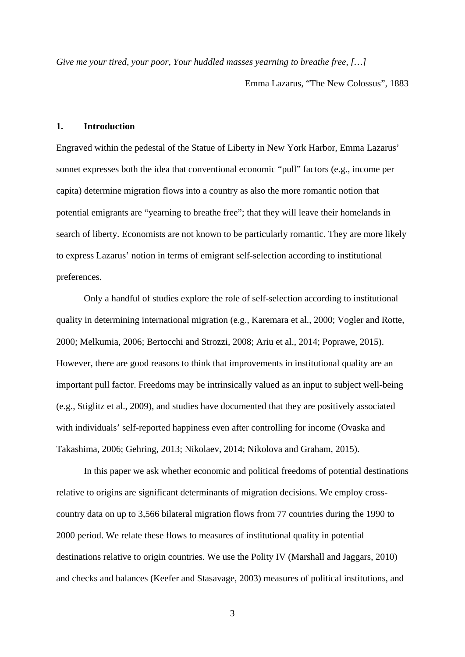*Give me your tired, your poor, Your huddled masses yearning to breathe free, […]* 

Emma Lazarus, "The New Colossus", 1883

#### **1. Introduction**

Engraved within the pedestal of the Statue of Liberty in New York Harbor, Emma Lazarus' sonnet expresses both the idea that conventional economic "pull" factors (e.g., income per capita) determine migration flows into a country as also the more romantic notion that potential emigrants are "yearning to breathe free"; that they will leave their homelands in search of liberty. Economists are not known to be particularly romantic. They are more likely to express Lazarus' notion in terms of emigrant self-selection according to institutional preferences.

Only a handful of studies explore the role of self-selection according to institutional quality in determining international migration (e.g., Karemara et al., 2000; Vogler and Rotte, 2000; Melkumia, 2006; Bertocchi and Strozzi, 2008; Ariu et al., 2014; Poprawe, 2015). However, there are good reasons to think that improvements in institutional quality are an important pull factor. Freedoms may be intrinsically valued as an input to subject well-being (e.g., Stiglitz et al., 2009), and studies have documented that they are positively associated with individuals' self-reported happiness even after controlling for income (Ovaska and Takashima, 2006; Gehring, 2013; Nikolaev, 2014; Nikolova and Graham, 2015).

In this paper we ask whether economic and political freedoms of potential destinations relative to origins are significant determinants of migration decisions. We employ crosscountry data on up to 3,566 bilateral migration flows from 77 countries during the 1990 to 2000 period. We relate these flows to measures of institutional quality in potential destinations relative to origin countries. We use the Polity IV (Marshall and Jaggars, 2010) and checks and balances (Keefer and Stasavage, 2003) measures of political institutions, and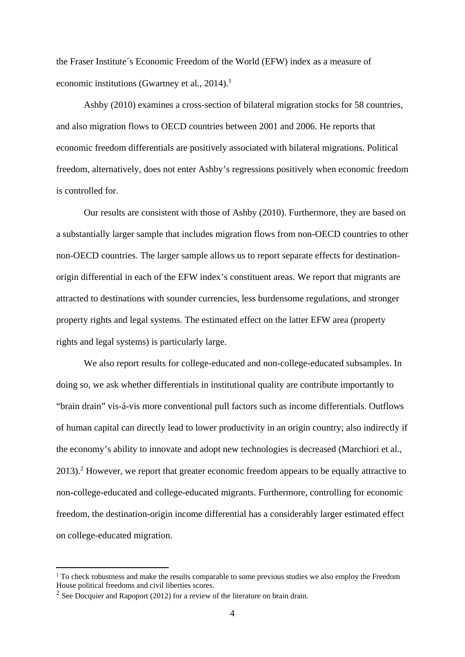the Fraser Institute´s Economic Freedom of the World (EFW) index as a measure of economic institutions (Gwartney et al.,  $2014$ ).<sup>1</sup>

Ashby (2010) examines a cross-section of bilateral migration stocks for 58 countries, and also migration flows to OECD countries between 2001 and 2006. He reports that economic freedom differentials are positively associated with bilateral migrations. Political freedom, alternatively, does not enter Ashby's regressions positively when economic freedom is controlled for.

Our results are consistent with those of Ashby (2010). Furthermore, they are based on a substantially larger sample that includes migration flows from non-OECD countries to other non-OECD countries. The larger sample allows us to report separate effects for destinationorigin differential in each of the EFW index's constituent areas. We report that migrants are attracted to destinations with sounder currencies, less burdensome regulations, and stronger property rights and legal systems. The estimated effect on the latter EFW area (property rights and legal systems) is particularly large.

We also report results for college-educated and non-college-educated subsamples. In doing so, we ask whether differentials in institutional quality are contribute importantly to "brain drain" vis-á-vis more conventional pull factors such as income differentials. Outflows of human capital can directly lead to lower productivity in an origin country; also indirectly if the economy's ability to innovate and adopt new technologies is decreased (Marchiori et al., 2013).<sup>2</sup> However, we report that greater economic freedom appears to be equally attractive to non-college-educated and college-educated migrants. Furthermore, controlling for economic freedom, the destination-origin income differential has a considerably larger estimated effect on college-educated migration.

<sup>&</sup>lt;sup>1</sup> To check robustness and make the results comparable to some previous studies we also employ the Freedom House political freedoms and civil liberties scores.

<sup>&</sup>lt;sup>2</sup> See Docquier and Rapoport (2012) for a review of the literature on brain drain.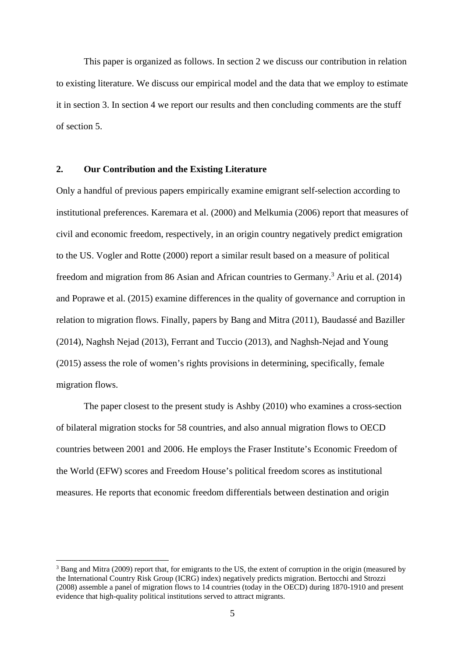This paper is organized as follows. In section 2 we discuss our contribution in relation to existing literature. We discuss our empirical model and the data that we employ to estimate it in section 3. In section 4 we report our results and then concluding comments are the stuff of section 5.

#### **2. Our Contribution and the Existing Literature**

Only a handful of previous papers empirically examine emigrant self-selection according to institutional preferences. Karemara et al. (2000) and Melkumia (2006) report that measures of civil and economic freedom, respectively, in an origin country negatively predict emigration to the US. Vogler and Rotte (2000) report a similar result based on a measure of political freedom and migration from 86 Asian and African countries to Germany.<sup>3</sup> Ariu et al. (2014) and Poprawe et al. (2015) examine differences in the quality of governance and corruption in relation to migration flows. Finally, papers by Bang and Mitra (2011), Baudassé and Baziller (2014), Naghsh Nejad (2013), Ferrant and Tuccio (2013), and Naghsh-Nejad and Young (2015) assess the role of women's rights provisions in determining, specifically, female migration flows.

The paper closest to the present study is Ashby (2010) who examines a cross-section of bilateral migration stocks for 58 countries, and also annual migration flows to OECD countries between 2001 and 2006. He employs the Fraser Institute's Economic Freedom of the World (EFW) scores and Freedom House's political freedom scores as institutional measures. He reports that economic freedom differentials between destination and origin

<sup>&</sup>lt;sup>3</sup> Bang and Mitra (2009) report that, for emigrants to the US, the extent of corruption in the origin (measured by the International Country Risk Group (ICRG) index) negatively predicts migration. Bertocchi and Strozzi (2008) assemble a panel of migration flows to 14 countries (today in the OECD) during 1870-1910 and present evidence that high-quality political institutions served to attract migrants.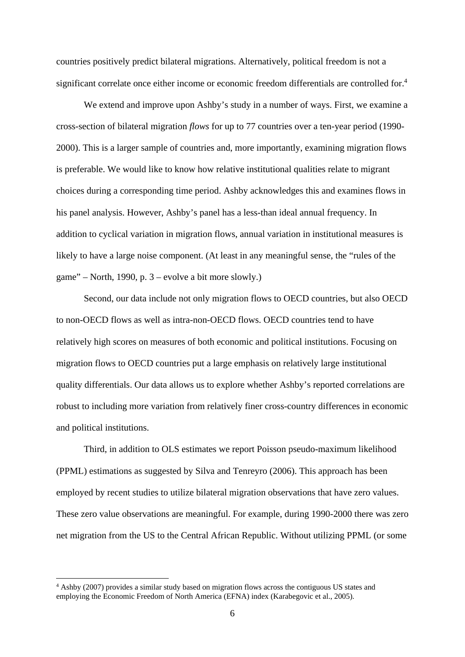countries positively predict bilateral migrations. Alternatively, political freedom is not a significant correlate once either income or economic freedom differentials are controlled for.<sup>4</sup>

We extend and improve upon Ashby's study in a number of ways. First, we examine a cross-section of bilateral migration *flows* for up to 77 countries over a ten-year period (1990- 2000). This is a larger sample of countries and, more importantly, examining migration flows is preferable. We would like to know how relative institutional qualities relate to migrant choices during a corresponding time period. Ashby acknowledges this and examines flows in his panel analysis. However, Ashby's panel has a less-than ideal annual frequency. In addition to cyclical variation in migration flows, annual variation in institutional measures is likely to have a large noise component. (At least in any meaningful sense, the "rules of the game" – North, 1990, p. 3 – evolve a bit more slowly.)

Second, our data include not only migration flows to OECD countries, but also OECD to non-OECD flows as well as intra-non-OECD flows. OECD countries tend to have relatively high scores on measures of both economic and political institutions. Focusing on migration flows to OECD countries put a large emphasis on relatively large institutional quality differentials. Our data allows us to explore whether Ashby's reported correlations are robust to including more variation from relatively finer cross-country differences in economic and political institutions.

Third, in addition to OLS estimates we report Poisson pseudo-maximum likelihood (PPML) estimations as suggested by Silva and Tenreyro (2006). This approach has been employed by recent studies to utilize bilateral migration observations that have zero values. These zero value observations are meaningful. For example, during 1990-2000 there was zero net migration from the US to the Central African Republic. Without utilizing PPML (or some

<sup>4</sup> Ashby (2007) provides a similar study based on migration flows across the contiguous US states and employing the Economic Freedom of North America (EFNA) index (Karabegovic et al., 2005).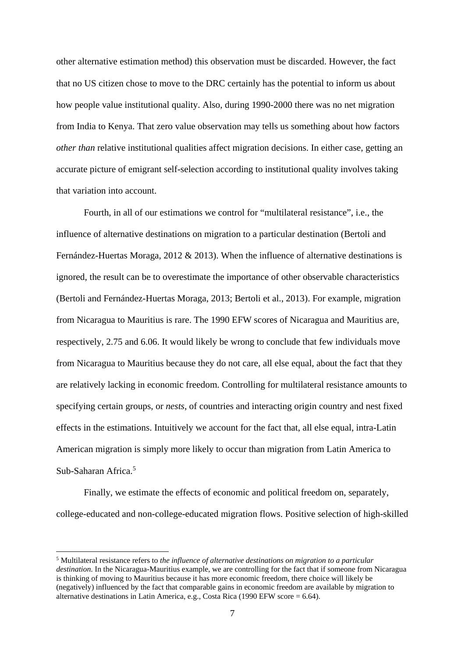other alternative estimation method) this observation must be discarded. However, the fact that no US citizen chose to move to the DRC certainly has the potential to inform us about how people value institutional quality. Also, during 1990-2000 there was no net migration from India to Kenya. That zero value observation may tells us something about how factors *other than* relative institutional qualities affect migration decisions. In either case, getting an accurate picture of emigrant self-selection according to institutional quality involves taking that variation into account.

Fourth, in all of our estimations we control for "multilateral resistance", i.e., the influence of alternative destinations on migration to a particular destination (Bertoli and Fernández-Huertas Moraga, 2012 & 2013). When the influence of alternative destinations is ignored, the result can be to overestimate the importance of other observable characteristics (Bertoli and Fernández-Huertas Moraga, 2013; Bertoli et al., 2013). For example, migration from Nicaragua to Mauritius is rare. The 1990 EFW scores of Nicaragua and Mauritius are, respectively, 2.75 and 6.06. It would likely be wrong to conclude that few individuals move from Nicaragua to Mauritius because they do not care, all else equal, about the fact that they are relatively lacking in economic freedom. Controlling for multilateral resistance amounts to specifying certain groups, or *nests*, of countries and interacting origin country and nest fixed effects in the estimations. Intuitively we account for the fact that, all else equal, intra-Latin American migration is simply more likely to occur than migration from Latin America to Sub-Saharan Africa.<sup>5</sup>

Finally, we estimate the effects of economic and political freedom on, separately, college-educated and non-college-educated migration flows. Positive selection of high-skilled

<sup>5</sup> Multilateral resistance refers to *the influence of alternative destinations on migration to a particular destination*. In the Nicaragua-Mauritius example, we are controlling for the fact that if someone from Nicaragua is thinking of moving to Mauritius because it has more economic freedom, there choice will likely be (negatively) influenced by the fact that comparable gains in economic freedom are available by migration to alternative destinations in Latin America, e.g., Costa Rica (1990 EFW score = 6.64).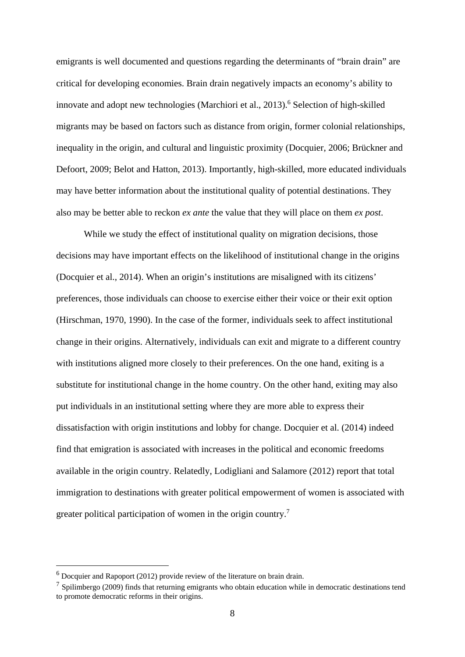emigrants is well documented and questions regarding the determinants of "brain drain" are critical for developing economies. Brain drain negatively impacts an economy's ability to innovate and adopt new technologies (Marchiori et al., 2013).<sup>6</sup> Selection of high-skilled migrants may be based on factors such as distance from origin, former colonial relationships, inequality in the origin, and cultural and linguistic proximity (Docquier, 2006; Brückner and Defoort, 2009; Belot and Hatton, 2013). Importantly, high-skilled, more educated individuals may have better information about the institutional quality of potential destinations. They also may be better able to reckon *ex ante* the value that they will place on them *ex post*.

While we study the effect of institutional quality on migration decisions, those decisions may have important effects on the likelihood of institutional change in the origins (Docquier et al., 2014). When an origin's institutions are misaligned with its citizens' preferences, those individuals can choose to exercise either their voice or their exit option (Hirschman, 1970, 1990). In the case of the former, individuals seek to affect institutional change in their origins. Alternatively, individuals can exit and migrate to a different country with institutions aligned more closely to their preferences. On the one hand, exiting is a substitute for institutional change in the home country. On the other hand, exiting may also put individuals in an institutional setting where they are more able to express their dissatisfaction with origin institutions and lobby for change. Docquier et al. (2014) indeed find that emigration is associated with increases in the political and economic freedoms available in the origin country. Relatedly, Lodigliani and Salamore (2012) report that total immigration to destinations with greater political empowerment of women is associated with greater political participation of women in the origin country.<sup>7</sup>

<sup>&</sup>lt;sup>6</sup> Docquier and Rapoport (2012) provide review of the literature on brain drain.

 $<sup>7</sup>$  Spilimbergo (2009) finds that returning emigrants who obtain education while in democratic destinations tend</sup> to promote democratic reforms in their origins.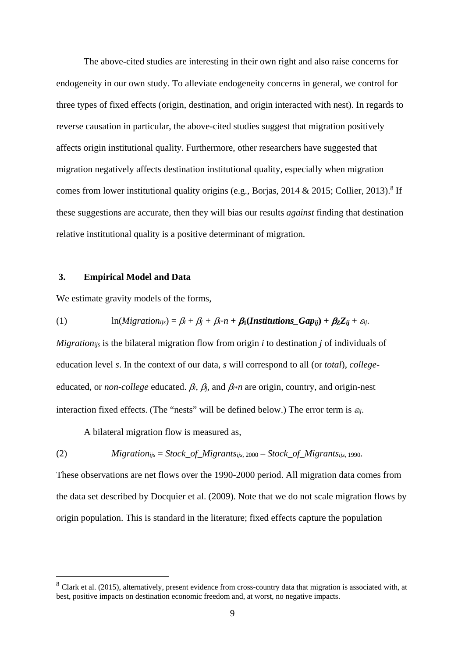The above-cited studies are interesting in their own right and also raise concerns for endogeneity in our own study. To alleviate endogeneity concerns in general, we control for three types of fixed effects (origin, destination, and origin interacted with nest). In regards to reverse causation in particular, the above-cited studies suggest that migration positively affects origin institutional quality. Furthermore, other researchers have suggested that migration negatively affects destination institutional quality, especially when migration comes from lower institutional quality origins (e.g., Borjas, 2014 & 2015; Collier, 2013).<sup>8</sup> If these suggestions are accurate, then they will bias our results *against* finding that destination relative institutional quality is a positive determinant of migration.

#### **3. Empirical Model and Data**

<u>.</u>

We estimate gravity models of the forms,

(1)  $\ln(Migration_{ijs}) = \beta_i + \beta_j + \beta_i * n + \beta_1(Instantions_Gap_{ii}) + \beta_2 Z_{ii} + \varepsilon_i.$ 

*Migrationijs* is the bilateral migration flow from origin *i* to destination *j* of individuals of education level *s*. In the context of our data, *s* will correspond to all (or *total*), *college*educated, or *non-college* educated.  $\beta_i$ ,  $\beta_j$ , and  $\beta_{i^*}n$  are origin, country, and origin-nest interaction fixed effects. (The "nests" will be defined below.) The error term is  $\varepsilon_{ii}$ .

A bilateral migration flow is measured as,

(2) *Migrationijs* = *Stock\_of\_Migrantsijs*, 2000 – *Stock\_of\_Migrantsijs*, 1990.

These observations are net flows over the 1990-2000 period. All migration data comes from the data set described by Docquier et al. (2009). Note that we do not scale migration flows by origin population. This is standard in the literature; fixed effects capture the population

 $8$  Clark et al. (2015), alternatively, present evidence from cross-country data that migration is associated with, at best, positive impacts on destination economic freedom and, at worst, no negative impacts.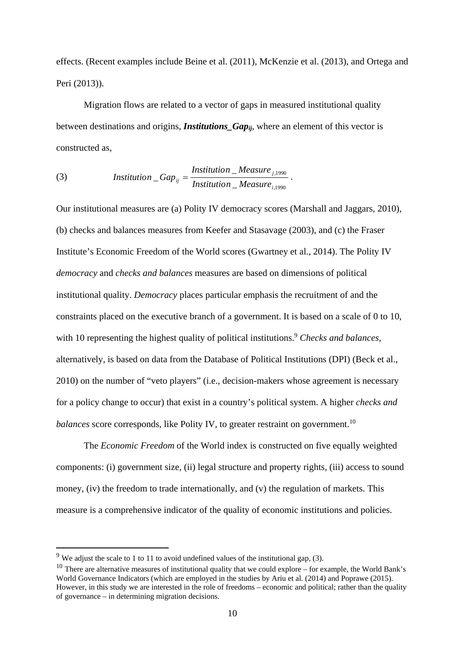effects. (Recent examples include Beine et al. (2011), McKenzie et al. (2013), and Ortega and Peri (2013)).

 Migration flows are related to a vector of gaps in measured institutional quality between destinations and origins, *Institutions* Gap<sub>ij</sub>, where an element of this vector is constructed as,

(3) *Institution\_Gap*<sub>ij</sub> = 
$$
\frac{Institution\_Measure_{j,1990}}{Institution\_Measure_{i,1990}}.
$$

Our institutional measures are (a) Polity IV democracy scores (Marshall and Jaggars, 2010), (b) checks and balances measures from Keefer and Stasavage (2003), and (c) the Fraser Institute's Economic Freedom of the World scores (Gwartney et al., 2014). The Polity IV *democracy* and *checks and balances* measures are based on dimensions of political institutional quality. *Democracy* places particular emphasis the recruitment of and the constraints placed on the executive branch of a government. It is based on a scale of 0 to 10, with 10 representing the highest quality of political institutions.<sup>9</sup> *Checks and balances*, alternatively, is based on data from the Database of Political Institutions (DPI) (Beck et al., 2010) on the number of "veto players" (i.e., decision-makers whose agreement is necessary for a policy change to occur) that exist in a country's political system. A higher *checks and balances* score corresponds, like Polity IV, to greater restraint on government.<sup>10</sup>

 The *Economic Freedom* of the World index is constructed on five equally weighted components: (i) government size, (ii) legal structure and property rights, (iii) access to sound money, (iv) the freedom to trade internationally, and (v) the regulation of markets. This measure is a comprehensive indicator of the quality of economic institutions and policies.

 $9$  We adjust the scale to 1 to 11 to avoid undefined values of the institutional gap, (3).

<sup>&</sup>lt;sup>10</sup> There are alternative measures of institutional quality that we could explore – for example, the World Bank's World Governance Indicators (which are employed in the studies by Ariu et al. (2014) and Poprawe (2015). However, in this study we are interested in the role of freedoms – economic and political; rather than the quality of governance – in determining migration decisions.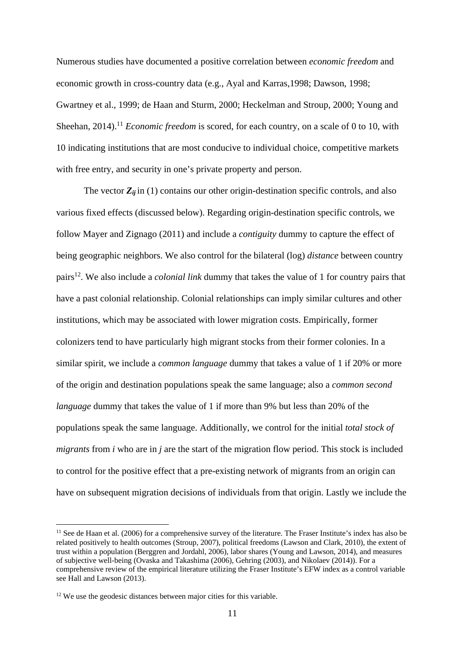Numerous studies have documented a positive correlation between *economic freedom* and economic growth in cross-country data (e.g., Ayal and Karras,1998; Dawson, 1998; Gwartney et al., 1999; de Haan and Sturm, 2000; Heckelman and Stroup, 2000; Young and Sheehan, 2014).<sup>11</sup> *Economic freedom* is scored, for each country, on a scale of 0 to 10, with 10 indicating institutions that are most conducive to individual choice, competitive markets with free entry, and security in one's private property and person.

The vector  $Z_{ij}$  in (1) contains our other origin-destination specific controls, and also various fixed effects (discussed below). Regarding origin-destination specific controls, we follow Mayer and Zignago (2011) and include a *contiguity* dummy to capture the effect of being geographic neighbors. We also control for the bilateral (log) *distance* between country pairs12. We also include a *colonial link* dummy that takes the value of 1 for country pairs that have a past colonial relationship. Colonial relationships can imply similar cultures and other institutions, which may be associated with lower migration costs. Empirically, former colonizers tend to have particularly high migrant stocks from their former colonies. In a similar spirit, we include a *common language* dummy that takes a value of 1 if 20% or more of the origin and destination populations speak the same language; also a *common second language* dummy that takes the value of 1 if more than 9% but less than 20% of the populations speak the same language. Additionally, we control for the initial *total stock of migrants* from *i* who are in *j* are the start of the migration flow period. This stock is included to control for the positive effect that a pre-existing network of migrants from an origin can have on subsequent migration decisions of individuals from that origin. Lastly we include the

 $11$  See de Haan et al. (2006) for a comprehensive survey of the literature. The Fraser Institute's index has also be related positively to health outcomes (Stroup, 2007), political freedoms (Lawson and Clark, 2010), the extent of trust within a population (Berggren and Jordahl, 2006), labor shares (Young and Lawson, 2014), and measures of subjective well-being (Ovaska and Takashima (2006), Gehring (2003), and Nikolaev (2014)). For a comprehensive review of the empirical literature utilizing the Fraser Institute's EFW index as a control variable see Hall and Lawson (2013).

<sup>&</sup>lt;sup>12</sup> We use the geodesic distances between major cities for this variable.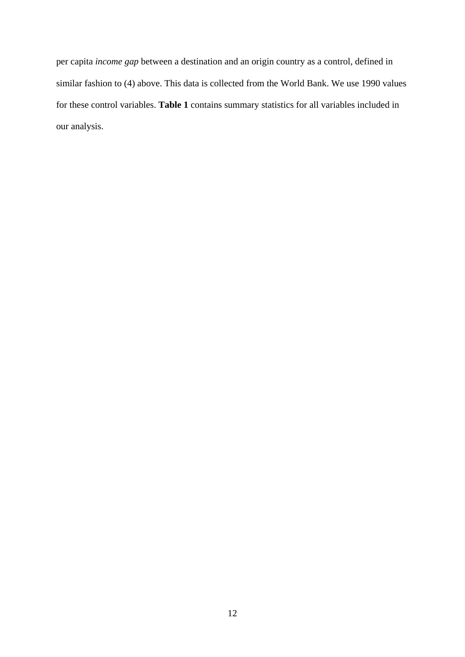per capita *income gap* between a destination and an origin country as a control, defined in similar fashion to (4) above. This data is collected from the World Bank. We use 1990 values for these control variables. **Table 1** contains summary statistics for all variables included in our analysis.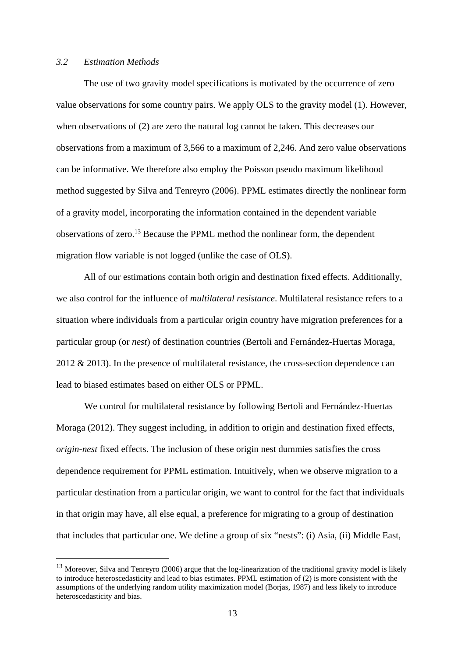#### *3.2 Estimation Methods*

1

 The use of two gravity model specifications is motivated by the occurrence of zero value observations for some country pairs. We apply OLS to the gravity model (1). However, when observations of (2) are zero the natural log cannot be taken. This decreases our observations from a maximum of 3,566 to a maximum of 2,246. And zero value observations can be informative. We therefore also employ the Poisson pseudo maximum likelihood method suggested by Silva and Tenreyro (2006). PPML estimates directly the nonlinear form of a gravity model, incorporating the information contained in the dependent variable observations of zero.13 Because the PPML method the nonlinear form, the dependent migration flow variable is not logged (unlike the case of OLS).

 All of our estimations contain both origin and destination fixed effects. Additionally, we also control for the influence of *multilateral resistance*. Multilateral resistance refers to a situation where individuals from a particular origin country have migration preferences for a particular group (or *nest*) of destination countries (Bertoli and Fernández-Huertas Moraga, 2012 & 2013). In the presence of multilateral resistance, the cross-section dependence can lead to biased estimates based on either OLS or PPML.

We control for multilateral resistance by following Bertoli and Fernández-Huertas Moraga (2012). They suggest including, in addition to origin and destination fixed effects, *origin-nest* fixed effects. The inclusion of these origin nest dummies satisfies the cross dependence requirement for PPML estimation. Intuitively, when we observe migration to a particular destination from a particular origin, we want to control for the fact that individuals in that origin may have, all else equal, a preference for migrating to a group of destination that includes that particular one. We define a group of six "nests": (i) Asia, (ii) Middle East,

<sup>&</sup>lt;sup>13</sup> Moreover, Silva and Tenreyro (2006) argue that the log-linearization of the traditional gravity model is likely to introduce heteroscedasticity and lead to bias estimates. PPML estimation of (2) is more consistent with the assumptions of the underlying random utility maximization model (Borjas, 1987) and less likely to introduce heteroscedasticity and bias.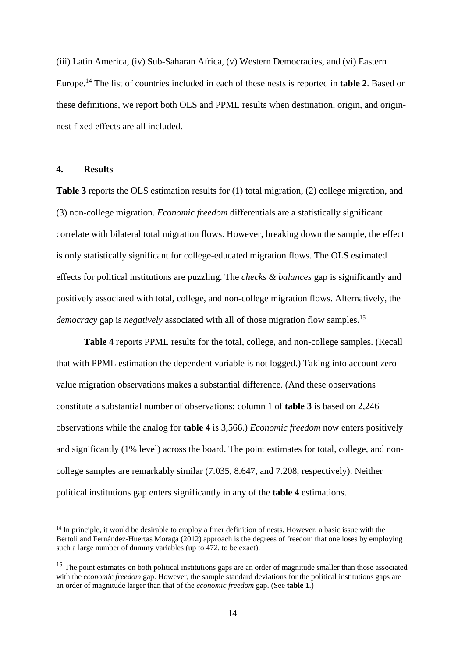(iii) Latin America, (iv) Sub-Saharan Africa, (v) Western Democracies, and (vi) Eastern Europe.14 The list of countries included in each of these nests is reported in **table 2**. Based on these definitions, we report both OLS and PPML results when destination, origin, and originnest fixed effects are all included.

#### **4. Results**

1

**Table 3** reports the OLS estimation results for (1) total migration, (2) college migration, and (3) non-college migration. *Economic freedom* differentials are a statistically significant correlate with bilateral total migration flows. However, breaking down the sample, the effect is only statistically significant for college-educated migration flows. The OLS estimated effects for political institutions are puzzling. The *checks & balances* gap is significantly and positively associated with total, college, and non-college migration flows. Alternatively, the *democracy* gap is *negatively* associated with all of those migration flow samples.<sup>15</sup>

**Table 4** reports PPML results for the total, college, and non-college samples. (Recall that with PPML estimation the dependent variable is not logged.) Taking into account zero value migration observations makes a substantial difference. (And these observations constitute a substantial number of observations: column 1 of **table 3** is based on 2,246 observations while the analog for **table 4** is 3,566.) *Economic freedom* now enters positively and significantly (1% level) across the board. The point estimates for total, college, and noncollege samples are remarkably similar (7.035, 8.647, and 7.208, respectively). Neither political institutions gap enters significantly in any of the **table 4** estimations.

 $14$  In principle, it would be desirable to employ a finer definition of nests. However, a basic issue with the Bertoli and Fernández-Huertas Moraga (2012) approach is the degrees of freedom that one loses by employing such a large number of dummy variables (up to 472, to be exact).

<sup>&</sup>lt;sup>15</sup> The point estimates on both political institutions gaps are an order of magnitude smaller than those associated with the *economic freedom* gap. However, the sample standard deviations for the political institutions gaps are an order of magnitude larger than that of the *economic freedom* gap. (See **table 1**.)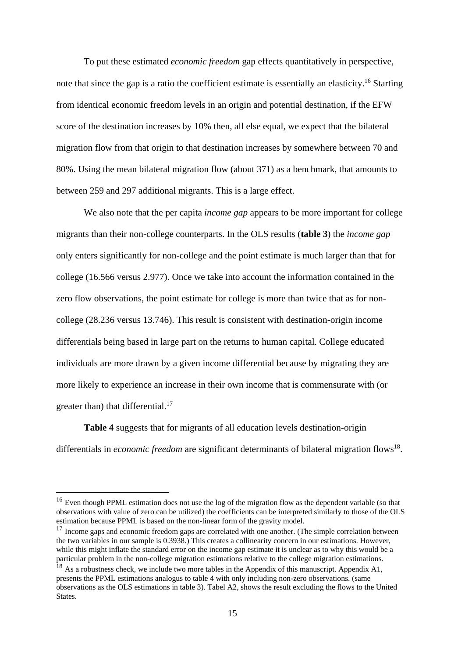To put these estimated *economic freedom* gap effects quantitatively in perspective, note that since the gap is a ratio the coefficient estimate is essentially an elasticity.<sup>16</sup> Starting from identical economic freedom levels in an origin and potential destination, if the EFW score of the destination increases by 10% then, all else equal, we expect that the bilateral migration flow from that origin to that destination increases by somewhere between 70 and 80%. Using the mean bilateral migration flow (about 371) as a benchmark, that amounts to between 259 and 297 additional migrants. This is a large effect.

 We also note that the per capita *income gap* appears to be more important for college migrants than their non-college counterparts. In the OLS results (**table 3**) the *income gap* only enters significantly for non-college and the point estimate is much larger than that for college (16.566 versus 2.977). Once we take into account the information contained in the zero flow observations, the point estimate for college is more than twice that as for noncollege (28.236 versus 13.746). This result is consistent with destination-origin income differentials being based in large part on the returns to human capital. College educated individuals are more drawn by a given income differential because by migrating they are more likely to experience an increase in their own income that is commensurate with (or greater than) that differential.<sup>17</sup>

**Table 4** suggests that for migrants of all education levels destination-origin differentials in *economic freedom* are significant determinants of bilateral migration flows<sup>18</sup>.

<sup>&</sup>lt;sup>16</sup> Even though PPML estimation does not use the log of the migration flow as the dependent variable (so that observations with value of zero can be utilized) the coefficients can be interpreted similarly to those of the OLS estimation because PPML is based on the non-linear form of the gravity model.

 $17$  Income gaps and economic freedom gaps are correlated with one another. (The simple correlation between the two variables in our sample is 0.3938.) This creates a collinearity concern in our estimations. However, while this might inflate the standard error on the income gap estimate it is unclear as to why this would be a particular problem in the non-college migration estimations relative to the college migration estimations.

<sup>&</sup>lt;sup>18</sup> As a robustness check, we include two more tables in the Appendix of this manuscript. Appendix A1, presents the PPML estimations analogus to table 4 with only including non-zero observations. (same observations as the OLS estimations in table 3). Tabel A2, shows the result excluding the flows to the United States.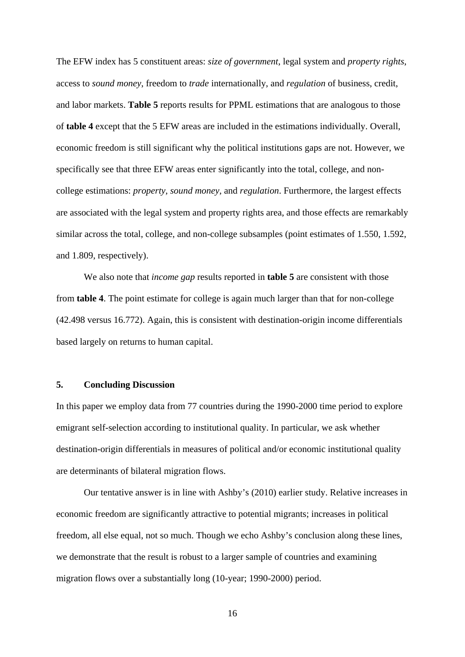The EFW index has 5 constituent areas: *size of government*, legal system and *property rights*, access to *sound money*, freedom to *trade* internationally, and *regulation* of business, credit, and labor markets. **Table 5** reports results for PPML estimations that are analogous to those of **table 4** except that the 5 EFW areas are included in the estimations individually. Overall, economic freedom is still significant why the political institutions gaps are not. However, we specifically see that three EFW areas enter significantly into the total, college, and noncollege estimations: *property*, *sound money*, and *regulation*. Furthermore, the largest effects are associated with the legal system and property rights area, and those effects are remarkably similar across the total, college, and non-college subsamples (point estimates of 1.550, 1.592, and 1.809, respectively).

 We also note that *income gap* results reported in **table 5** are consistent with those from **table 4**. The point estimate for college is again much larger than that for non-college (42.498 versus 16.772). Again, this is consistent with destination-origin income differentials based largely on returns to human capital.

#### **5. Concluding Discussion**

In this paper we employ data from 77 countries during the 1990-2000 time period to explore emigrant self-selection according to institutional quality. In particular, we ask whether destination-origin differentials in measures of political and/or economic institutional quality are determinants of bilateral migration flows.

 Our tentative answer is in line with Ashby's (2010) earlier study. Relative increases in economic freedom are significantly attractive to potential migrants; increases in political freedom, all else equal, not so much. Though we echo Ashby's conclusion along these lines, we demonstrate that the result is robust to a larger sample of countries and examining migration flows over a substantially long (10-year; 1990-2000) period.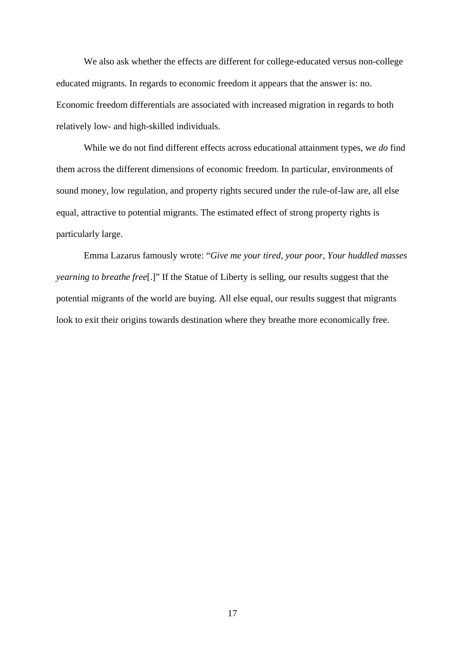We also ask whether the effects are different for college-educated versus non-college educated migrants. In regards to economic freedom it appears that the answer is: no. Economic freedom differentials are associated with increased migration in regards to both relatively low- and high-skilled individuals.

 While we do not find different effects across educational attainment types, we *do* find them across the different dimensions of economic freedom. In particular, environments of sound money, low regulation, and property rights secured under the rule-of-law are, all else equal, attractive to potential migrants. The estimated effect of strong property rights is particularly large.

 Emma Lazarus famously wrote: "*Give me your tired, your poor, Your huddled masses yearning to breathe free*[.]" If the Statue of Liberty is selling, our results suggest that the potential migrants of the world are buying. All else equal, our results suggest that migrants look to exit their origins towards destination where they breathe more economically free.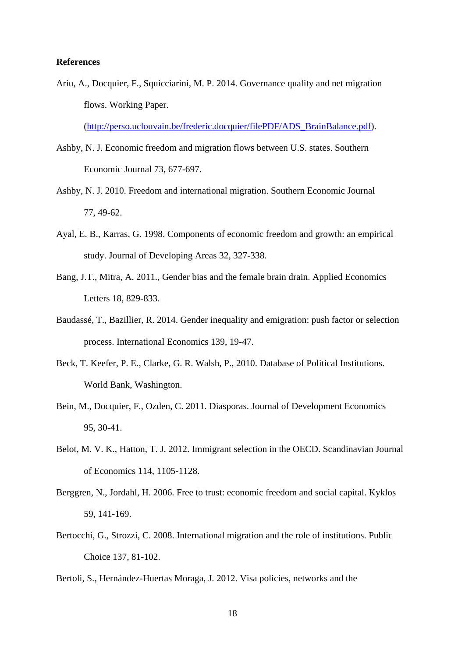#### **References**

Ariu, A., Docquier, F., Squicciarini, M. P. 2014. Governance quality and net migration flows. Working Paper.

(http://perso.uclouvain.be/frederic.docquier/filePDF/ADS\_BrainBalance.pdf).

- Ashby, N. J. Economic freedom and migration flows between U.S. states. Southern Economic Journal 73, 677-697.
- Ashby, N. J. 2010. Freedom and international migration. Southern Economic Journal 77, 49-62.
- Ayal, E. B., Karras, G. 1998. Components of economic freedom and growth: an empirical study. Journal of Developing Areas 32, 327-338.
- Bang, J.T., Mitra, A. 2011., Gender bias and the female brain drain. Applied Economics Letters 18, 829-833.
- Baudassé, T., Bazillier, R. 2014. Gender inequality and emigration: push factor or selection process. International Economics 139, 19-47.
- Beck, T. Keefer, P. E., Clarke, G. R. Walsh, P., 2010. Database of Political Institutions. World Bank, Washington.
- Bein, M., Docquier, F., Ozden, C. 2011. Diasporas. Journal of Development Economics 95, 30-41.
- Belot, M. V. K., Hatton, T. J. 2012. Immigrant selection in the OECD. Scandinavian Journal of Economics 114, 1105-1128.
- Berggren, N., Jordahl, H. 2006. Free to trust: economic freedom and social capital. Kyklos 59, 141-169.
- Bertocchi, G., Strozzi, C. 2008. International migration and the role of institutions. Public Choice 137, 81-102.
- Bertoli, S., Hernández-Huertas Moraga, J. 2012. Visa policies, networks and the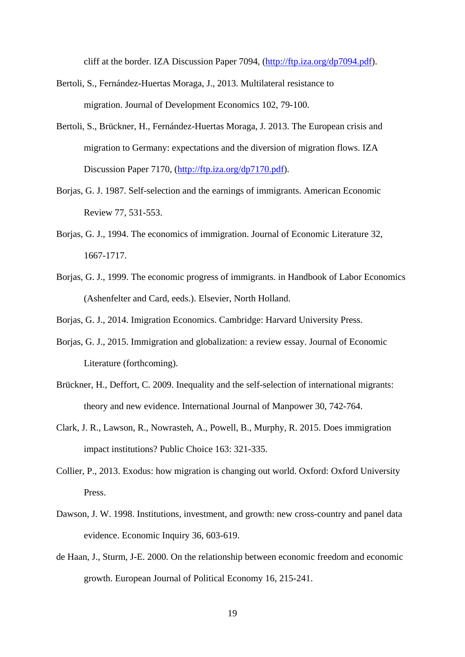cliff at the border. IZA Discussion Paper 7094, (http://ftp.iza.org/dp7094.pdf).

- Bertoli, S., Fernández-Huertas Moraga, J., 2013. Multilateral resistance to migration. Journal of Development Economics 102, 79-100.
- Bertoli, S., Brückner, H., Fernández-Huertas Moraga, J. 2013. The European crisis and migration to Germany: expectations and the diversion of migration flows. IZA Discussion Paper 7170, (http://ftp.iza.org/dp7170.pdf).
- Borjas, G. J. 1987. Self-selection and the earnings of immigrants. American Economic Review 77, 531-553.
- Borjas, G. J., 1994. The economics of immigration. Journal of Economic Literature 32, 1667-1717.
- Borjas, G. J., 1999. The economic progress of immigrants. in Handbook of Labor Economics (Ashenfelter and Card, eeds.). Elsevier, North Holland.
- Borjas, G. J., 2014. Imigration Economics. Cambridge: Harvard University Press.
- Borjas, G. J., 2015. Immigration and globalization: a review essay. Journal of Economic Literature (forthcoming).
- Brückner, H., Deffort, C. 2009. Inequality and the self-selection of international migrants: theory and new evidence. International Journal of Manpower 30, 742-764.
- Clark, J. R., Lawson, R., Nowrasteh, A., Powell, B., Murphy, R. 2015. Does immigration impact institutions? Public Choice 163: 321-335.
- Collier, P., 2013. Exodus: how migration is changing out world. Oxford: Oxford University Press.
- Dawson, J. W. 1998. Institutions, investment, and growth: new cross-country and panel data evidence. Economic Inquiry 36, 603-619.
- de Haan, J., Sturm, J-E. 2000. On the relationship between economic freedom and economic growth. European Journal of Political Economy 16, 215-241.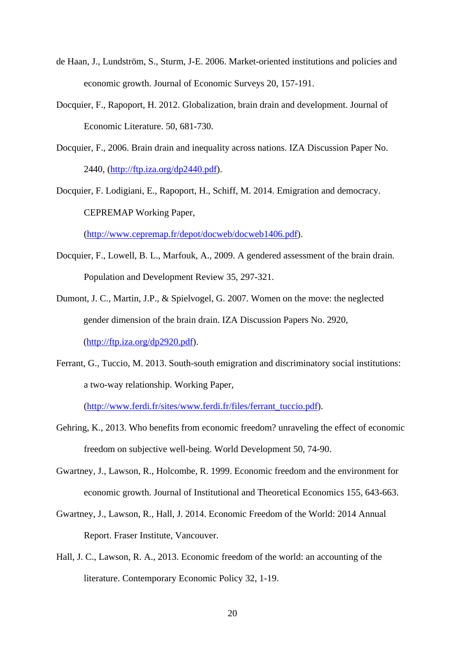- de Haan, J., Lundström, S., Sturm, J-E. 2006. Market-oriented institutions and policies and economic growth. Journal of Economic Surveys 20, 157-191.
- Docquier, F., Rapoport, H. 2012. Globalization, brain drain and development. Journal of Economic Literature. 50, 681-730.
- Docquier, F., 2006. Brain drain and inequality across nations. IZA Discussion Paper No. 2440, (http://ftp.iza.org/dp2440.pdf).
- Docquier, F. Lodigiani, E., Rapoport, H., Schiff, M. 2014. Emigration and democracy. CEPREMAP Working Paper,

(http://www.cepremap.fr/depot/docweb/docweb1406.pdf).

- Docquier, F., Lowell, B. L., Marfouk, A., 2009. A gendered assessment of the brain drain. Population and Development Review 35, 297-321.
- Dumont, J. C., Martin, J.P., & Spielvogel, G. 2007. Women on the move: the neglected gender dimension of the brain drain. IZA Discussion Papers No. 2920, (http://ftp.iza.org/dp2920.pdf).
- Ferrant, G., Tuccio, M. 2013. South-south emigration and discriminatory social institutions: a two-way relationship. Working Paper,

(http://www.ferdi.fr/sites/www.ferdi.fr/files/ferrant\_tuccio.pdf).

- Gehring, K., 2013. Who benefits from economic freedom? unraveling the effect of economic freedom on subjective well-being. World Development 50, 74-90.
- Gwartney, J., Lawson, R., Holcombe, R. 1999. Economic freedom and the environment for economic growth. Journal of Institutional and Theoretical Economics 155, 643-663.
- Gwartney, J., Lawson, R., Hall, J. 2014. Economic Freedom of the World: 2014 Annual Report. Fraser Institute, Vancouver.
- Hall, J. C., Lawson, R. A., 2013. Economic freedom of the world: an accounting of the literature. Contemporary Economic Policy 32, 1-19.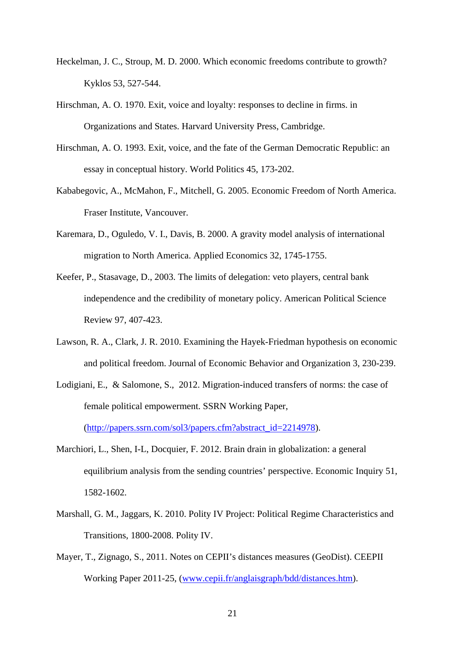- Heckelman, J. C., Stroup, M. D. 2000. Which economic freedoms contribute to growth? Kyklos 53, 527-544.
- Hirschman, A. O. 1970. Exit, voice and loyalty: responses to decline in firms. in Organizations and States. Harvard University Press, Cambridge.
- Hirschman, A. O. 1993. Exit, voice, and the fate of the German Democratic Republic: an essay in conceptual history. World Politics 45, 173-202.
- Kababegovic, A., McMahon, F., Mitchell, G. 2005. Economic Freedom of North America. Fraser Institute, Vancouver.
- Karemara, D., Oguledo, V. I., Davis, B. 2000. A gravity model analysis of international migration to North America. Applied Economics 32, 1745-1755.
- Keefer, P., Stasavage, D., 2003. The limits of delegation: veto players, central bank independence and the credibility of monetary policy. American Political Science Review 97, 407-423.
- Lawson, R. A., Clark, J. R. 2010. Examining the Hayek-Friedman hypothesis on economic and political freedom. Journal of Economic Behavior and Organization 3, 230-239.
- Lodigiani, E., & Salomone, S., 2012. Migration-induced transfers of norms: the case of female political empowerment. SSRN Working Paper, (http://papers.ssrn.com/sol3/papers.cfm?abstract\_id=2214978).
- Marchiori, L., Shen, I-L, Docquier, F. 2012. Brain drain in globalization: a general equilibrium analysis from the sending countries' perspective. Economic Inquiry 51, 1582-1602.
- Marshall, G. M., Jaggars, K. 2010. Polity IV Project: Political Regime Characteristics and Transitions, 1800-2008. Polity IV.
- Mayer, T., Zignago, S., 2011. Notes on CEPII's distances measures (GeoDist). CEEPII Working Paper 2011-25, (www.cepii.fr/anglaisgraph/bdd/distances.htm).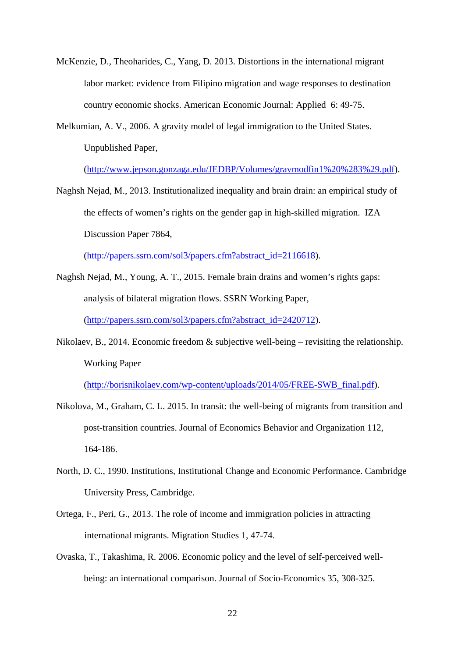- McKenzie, D., Theoharides, C., Yang, D. 2013. Distortions in the international migrant labor market: evidence from Filipino migration and wage responses to destination country economic shocks. American Economic Journal: Applied 6: 49-75.
- Melkumian, A. V., 2006. A gravity model of legal immigration to the United States. Unpublished Paper,

(http://www.jepson.gonzaga.edu/JEDBP/Volumes/gravmodfin1%20%283%29.pdf).

Naghsh Nejad, M., 2013. Institutionalized inequality and brain drain: an empirical study of the effects of women's rights on the gender gap in high-skilled migration. IZA Discussion Paper 7864,

(http://papers.ssrn.com/sol3/papers.cfm?abstract\_id=2116618).

- Naghsh Nejad, M., Young, A. T., 2015. Female brain drains and women's rights gaps: analysis of bilateral migration flows. SSRN Working Paper, (http://papers.ssrn.com/sol3/papers.cfm?abstract\_id=2420712).
- Nikolaev, B., 2014. Economic freedom & subjective well-being revisiting the relationship. Working Paper

(http://borisnikolaev.com/wp-content/uploads/2014/05/FREE-SWB\_final.pdf).

- Nikolova, M., Graham, C. L. 2015. In transit: the well-being of migrants from transition and post-transition countries. Journal of Economics Behavior and Organization 112, 164-186.
- North, D. C., 1990. Institutions, Institutional Change and Economic Performance. Cambridge University Press, Cambridge.
- Ortega, F., Peri, G., 2013. The role of income and immigration policies in attracting international migrants. Migration Studies 1, 47-74.
- Ovaska, T., Takashima, R. 2006. Economic policy and the level of self-perceived wellbeing: an international comparison. Journal of Socio-Economics 35, 308-325.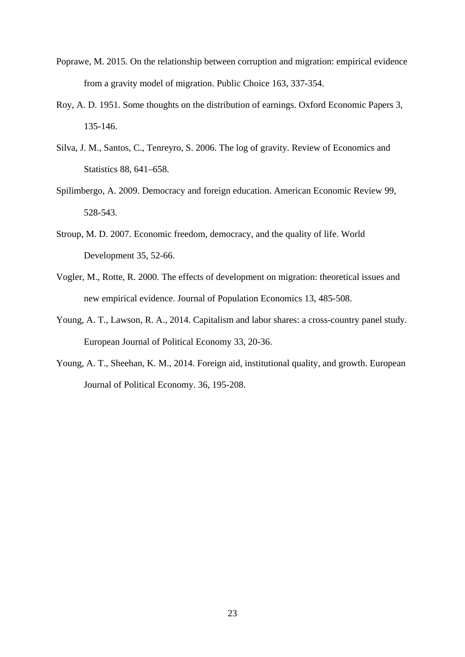- Poprawe, M. 2015. On the relationship between corruption and migration: empirical evidence from a gravity model of migration. Public Choice 163, 337-354.
- Roy, A. D. 1951. Some thoughts on the distribution of earnings. Oxford Economic Papers 3, 135-146.
- Silva, J. M., Santos, C., Tenreyro, S. 2006. The log of gravity. Review of Economics and Statistics 88, 641–658.
- Spilimbergo, A. 2009. Democracy and foreign education. American Economic Review 99, 528-543.
- Stroup, M. D. 2007. Economic freedom, democracy, and the quality of life. World Development 35, 52-66.
- Vogler, M., Rotte, R. 2000. The effects of development on migration: theoretical issues and new empirical evidence. Journal of Population Economics 13, 485-508.
- Young, A. T., Lawson, R. A., 2014. Capitalism and labor shares: a cross-country panel study. European Journal of Political Economy 33, 20-36.
- Young, A. T., Sheehan, K. M., 2014. Foreign aid, institutional quality, and growth. European Journal of Political Economy. 36, 195-208.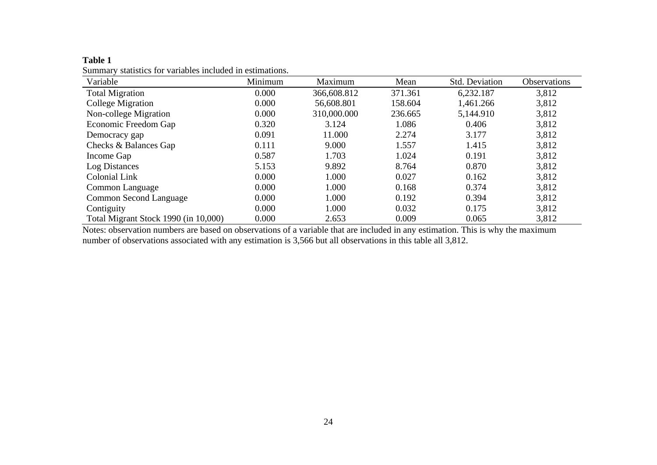**Table 1**  Summary statistics for variables included in estimations.

| Variable                             | Minimum | Maximum     | Mean    | Std. Deviation | <b>Observations</b> |
|--------------------------------------|---------|-------------|---------|----------------|---------------------|
| <b>Total Migration</b>               | 0.000   | 366,608.812 | 371.361 | 6,232.187      | 3,812               |
| College Migration                    | 0.000   | 56,608.801  | 158.604 | 1,461.266      | 3,812               |
| Non-college Migration                | 0.000   | 310,000.000 | 236.665 | 5,144.910      | 3,812               |
| Economic Freedom Gap                 | 0.320   | 3.124       | 1.086   | 0.406          | 3,812               |
| Democracy gap                        | 0.091   | 11.000      | 2.274   | 3.177          | 3,812               |
| Checks & Balances Gap                | 0.111   | 9.000       | 1.557   | 1.415          | 3,812               |
| Income Gap                           | 0.587   | 1.703       | 1.024   | 0.191          | 3,812               |
| Log Distances                        | 5.153   | 9.892       | 8.764   | 0.870          | 3,812               |
| <b>Colonial Link</b>                 | 0.000   | 1.000       | 0.027   | 0.162          | 3,812               |
| Common Language                      | 0.000   | 1.000       | 0.168   | 0.374          | 3,812               |
| Common Second Language               | 0.000   | 1.000       | 0.192   | 0.394          | 3,812               |
| Contiguity                           | 0.000   | 1.000       | 0.032   | 0.175          | 3,812               |
| Total Migrant Stock 1990 (in 10,000) | 0.000   | 2.653       | 0.009   | 0.065          | 3,812               |

Notes: observation numbers are based on observations of a variable that are included in any estimation. This is why the maximum number of observations associated with any estimation is 3,566 but all observations in this table all 3,812.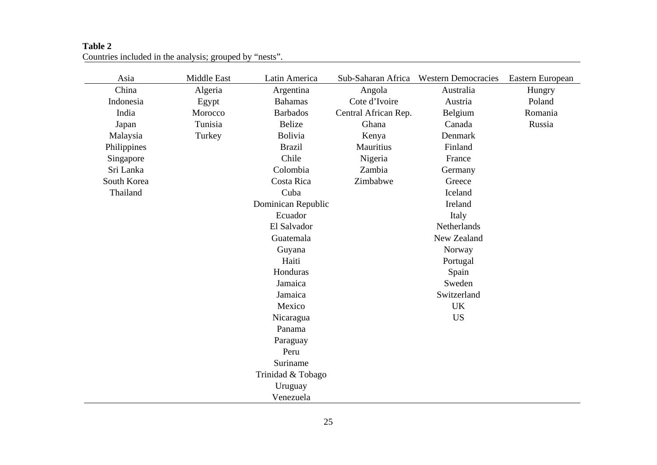#### **Table 2**  Countries included in the analysis; grouped by "nests".

| Asia        | Middle East | Latin America      | Sub-Saharan Africa   | <b>Western Democracies</b> | Eastern European |
|-------------|-------------|--------------------|----------------------|----------------------------|------------------|
| China       | Algeria     | Argentina          | Angola               | Australia                  | Hungry           |
| Indonesia   | Egypt       | <b>Bahamas</b>     | Cote d'Ivoire        | Austria                    | Poland           |
| India       | Morocco     | <b>Barbados</b>    | Central African Rep. | Belgium                    | Romania          |
| Japan       | Tunisia     | Belize             | Ghana                | Canada                     | Russia           |
| Malaysia    | Turkey      | Bolivia            | Kenya                | Denmark                    |                  |
| Philippines |             | <b>Brazil</b>      | Mauritius            | Finland                    |                  |
| Singapore   |             | Chile              | Nigeria              | France                     |                  |
| Sri Lanka   |             | Colombia           | Zambia               | Germany                    |                  |
| South Korea |             | Costa Rica         | Zimbabwe             | Greece                     |                  |
| Thailand    |             | Cuba               |                      | Iceland                    |                  |
|             |             | Dominican Republic |                      | Ireland                    |                  |
|             |             | Ecuador            |                      | Italy                      |                  |
|             |             | El Salvador        |                      | Netherlands                |                  |
|             |             | Guatemala          |                      | New Zealand                |                  |
|             |             | Guyana             |                      | Norway                     |                  |
|             |             | Haiti              |                      | Portugal                   |                  |
|             |             | Honduras           |                      | Spain                      |                  |
|             |             | Jamaica            |                      | Sweden                     |                  |
|             |             | Jamaica            |                      | Switzerland                |                  |
|             |             | Mexico             |                      | <b>UK</b>                  |                  |
|             |             | Nicaragua          |                      | <b>US</b>                  |                  |
|             |             | Panama             |                      |                            |                  |
|             |             | Paraguay           |                      |                            |                  |
|             |             | Peru               |                      |                            |                  |
|             |             | Suriname           |                      |                            |                  |
|             |             | Trinidad & Tobago  |                      |                            |                  |
|             |             | Uruguay            |                      |                            |                  |
|             |             | Venezuela          |                      |                            |                  |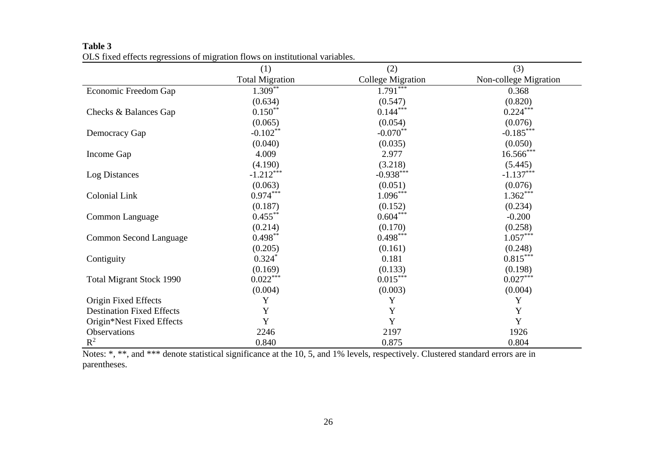|                                                                                                                                   | (1)                    | (2)                      | (3)                   |  |
|-----------------------------------------------------------------------------------------------------------------------------------|------------------------|--------------------------|-----------------------|--|
|                                                                                                                                   | <b>Total Migration</b> | <b>College Migration</b> | Non-college Migration |  |
| Economic Freedom Gap                                                                                                              | $1.309**$              | $1.791$ ***              | 0.368                 |  |
|                                                                                                                                   | (0.634)                | (0.547)                  | (0.820)               |  |
| Checks & Balances Gap                                                                                                             | $0.150**$              | $0.144***$               | $0.224***$            |  |
|                                                                                                                                   | (0.065)                | (0.054)                  | (0.076)               |  |
| Democracy Gap                                                                                                                     | $-0.102**$             | $-0.070**$               | $-0.185***$           |  |
|                                                                                                                                   | (0.040)                | (0.035)                  | (0.050)               |  |
| Income Gap                                                                                                                        | 4.009                  | 2.977                    | $16.566***$           |  |
|                                                                                                                                   | (4.190)                | (3.218)                  | (5.445)               |  |
| Log Distances                                                                                                                     | $-1.212***$            | $-0.938***$              | $-1.137***$           |  |
|                                                                                                                                   | (0.063)                | (0.051)                  | (0.076)               |  |
| <b>Colonial Link</b>                                                                                                              | $0.974***$             | $1.096***$               | $1.362***$            |  |
|                                                                                                                                   | (0.187)                | (0.152)                  | (0.234)               |  |
| Common Language                                                                                                                   | $0.455***$             | $0.604***$               | $-0.200$              |  |
|                                                                                                                                   | (0.214)                | (0.170)                  | (0.258)               |  |
| <b>Common Second Language</b>                                                                                                     | $0.498**$              | $0.498***$               | $1.057***$            |  |
|                                                                                                                                   | (0.205)                | (0.161)                  | (0.248)               |  |
| Contiguity                                                                                                                        | $0.324*$               | 0.181                    | $0.815***$            |  |
|                                                                                                                                   | (0.169)                | (0.133)                  | (0.198)               |  |
| <b>Total Migrant Stock 1990</b>                                                                                                   | $0.022***$             | $0.015***$               | $0.027***$            |  |
|                                                                                                                                   | (0.004)                | (0.003)                  | (0.004)               |  |
| Origin Fixed Effects                                                                                                              | Y                      | Y                        | Y                     |  |
| <b>Destination Fixed Effects</b>                                                                                                  | Y                      | Y                        | $\mathbf Y$           |  |
| Origin*Nest Fixed Effects                                                                                                         | Y                      | Y                        | $\mathbf Y$           |  |
| Observations                                                                                                                      | 2246                   | 2197                     | 1926                  |  |
| $R^2$                                                                                                                             | 0.840                  | 0.875                    | 0.804                 |  |
| Notes: *, **, and *** denote statistical significance at the 10, 5, and 1% levels, respectively. Clustered standard errors are in |                        |                          |                       |  |

**Table 3**  OLS fixed effects regressions of migration flows on institutional variables.

parentheses.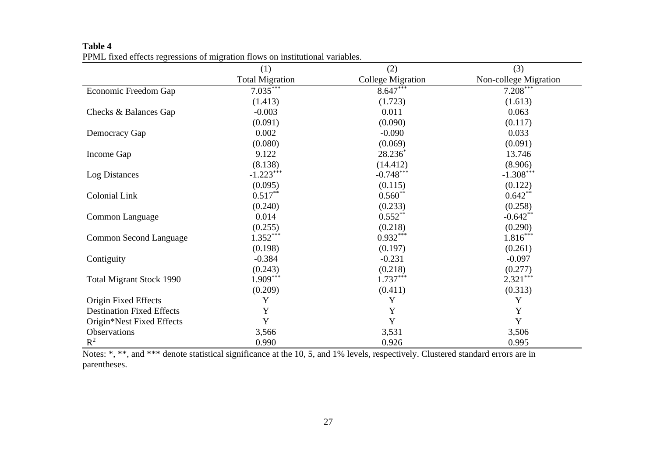|                                                                                                                                   | (1)                    | (2)                      | (3)                   |
|-----------------------------------------------------------------------------------------------------------------------------------|------------------------|--------------------------|-----------------------|
|                                                                                                                                   | <b>Total Migration</b> | <b>College Migration</b> | Non-college Migration |
| Economic Freedom Gap                                                                                                              | $7.035***$             | $8.647***$               | $7.208***$            |
|                                                                                                                                   | (1.413)                | (1.723)                  | (1.613)               |
| Checks & Balances Gap                                                                                                             | $-0.003$               | 0.011                    | 0.063                 |
|                                                                                                                                   | (0.091)                | (0.090)                  | (0.117)               |
| Democracy Gap                                                                                                                     | 0.002                  | $-0.090$                 | 0.033                 |
|                                                                                                                                   | (0.080)                | (0.069)                  | (0.091)               |
| Income Gap                                                                                                                        | 9.122                  | $28.236*$                | 13.746                |
|                                                                                                                                   | (8.138)                | (14.412)                 | (8.906)               |
| Log Distances                                                                                                                     | $-1.223***$            | $-0.748***$              | $-1.308***$           |
|                                                                                                                                   | (0.095)                | (0.115)                  | (0.122)               |
| Colonial Link                                                                                                                     | $0.517**$              | $0.560**$                | $0.642**$             |
|                                                                                                                                   | (0.240)                | (0.233)                  | (0.258)               |
| Common Language                                                                                                                   | 0.014                  | $0.552***$               | $-0.642**$            |
|                                                                                                                                   | (0.255)                | (0.218)                  | (0.290)               |
| <b>Common Second Language</b>                                                                                                     | $1.352***$             | $0.932***$               | $1.816***$            |
|                                                                                                                                   | (0.198)                | (0.197)                  | (0.261)               |
| Contiguity                                                                                                                        | $-0.384$               | $-0.231$                 | $-0.097$              |
|                                                                                                                                   | (0.243)                | (0.218)                  | (0.277)               |
| <b>Total Migrant Stock 1990</b>                                                                                                   | $1.909***$             | $1.737***$               | $2.321***$            |
|                                                                                                                                   | (0.209)                | (0.411)                  | (0.313)               |
| Origin Fixed Effects                                                                                                              | Y                      | Y                        | Y                     |
| <b>Destination Fixed Effects</b>                                                                                                  | Y                      | Y                        | Y                     |
| Origin*Nest Fixed Effects                                                                                                         | $\mathbf Y$            | Y                        | $\mathbf Y$           |
| Observations                                                                                                                      | 3,566                  | 3,531                    | 3,506                 |
| $R^2$                                                                                                                             | 0.990                  | 0.926                    | 0.995                 |
| Notes: *, **, and *** denote statistical significance at the 10, 5, and 1% levels, respectively. Clustered standard errors are in |                        |                          |                       |

**Table 4**  PPML fixed effects regressions of migration flows on institutional variables.

parentheses.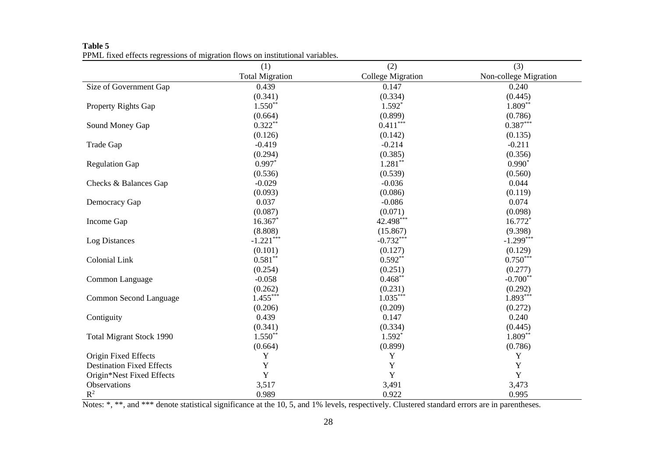|                                                                                                                                                | (1)                    | (2)                      | (3)                   |
|------------------------------------------------------------------------------------------------------------------------------------------------|------------------------|--------------------------|-----------------------|
|                                                                                                                                                | <b>Total Migration</b> | <b>College Migration</b> | Non-college Migration |
| Size of Government Gap                                                                                                                         | 0.439                  | 0.147                    | 0.240                 |
|                                                                                                                                                | (0.341)                | (0.334)                  | (0.445)               |
| Property Rights Gap                                                                                                                            | $1.550**$              | $1.592*$                 | $1.809**$             |
|                                                                                                                                                | (0.664)                | (0.899)                  | (0.786)               |
| Sound Money Gap                                                                                                                                | $0.322**$              | $0.411***$               | $0.387***$            |
|                                                                                                                                                | (0.126)                | (0.142)                  | (0.135)               |
| Trade Gap                                                                                                                                      | $-0.419$               | $-0.214$                 | $-0.211$              |
|                                                                                                                                                | (0.294)                | (0.385)                  | (0.356)               |
| <b>Regulation Gap</b>                                                                                                                          | $0.997*$               | $1.281**$                | $0.990*$              |
|                                                                                                                                                | (0.536)                | (0.539)                  | (0.560)               |
| Checks & Balances Gap                                                                                                                          | $-0.029$               | $-0.036$                 | 0.044                 |
|                                                                                                                                                | (0.093)                | (0.086)                  | (0.119)               |
| Democracy Gap                                                                                                                                  | 0.037                  | $-0.086$                 | 0.074                 |
|                                                                                                                                                | (0.087)                | (0.071)                  | (0.098)               |
| Income Gap                                                                                                                                     | 16.367*                | 42.498***                | 16.772*               |
|                                                                                                                                                | (8.808)                | (15.867)                 | (9.398)               |
| Log Distances                                                                                                                                  | $-1.221***$            | $-0.732***$              | $-1.299***$           |
|                                                                                                                                                | (0.101)                | (0.127)                  | (0.129)               |
| <b>Colonial Link</b>                                                                                                                           | $0.581**$              | $0.592**$                | $0.750***$            |
|                                                                                                                                                | (0.254)                | (0.251)                  | (0.277)               |
| Common Language                                                                                                                                | $-0.058$               | $0.468**$                | $-0.700**$            |
|                                                                                                                                                | (0.262)                | (0.231)                  | (0.292)               |
| Common Second Language                                                                                                                         | $1.455***$             | $1.035***$               | $1.893***$            |
|                                                                                                                                                | (0.206)                | (0.209)                  | (0.272)               |
| Contiguity                                                                                                                                     | 0.439                  | 0.147                    | 0.240                 |
|                                                                                                                                                | (0.341)                | (0.334)                  | (0.445)               |
| <b>Total Migrant Stock 1990</b>                                                                                                                | $1.550**$              | $1.592*$                 | $1.809**$             |
|                                                                                                                                                | (0.664)                | (0.899)                  | (0.786)               |
| Origin Fixed Effects                                                                                                                           | Y                      | $\mathbf Y$              | $\mathbf Y$           |
| <b>Destination Fixed Effects</b>                                                                                                               | Y                      | $\mathbf Y$              | $\mathbf Y$           |
| Origin*Nest Fixed Effects                                                                                                                      | Y                      | Y                        | Y                     |
| Observations                                                                                                                                   | 3,517                  | 3,491                    | 3,473                 |
| $R^2$                                                                                                                                          | 0.989                  | 0.922                    | 0.995                 |
| Notes: *, **, and *** denote statistical significance at the 10, 5, and 1% levels, respectively. Clustered standard errors are in parentheses. |                        |                          |                       |

**Table 5**  PPML fixed effects regressions of migration flows on institutional variables.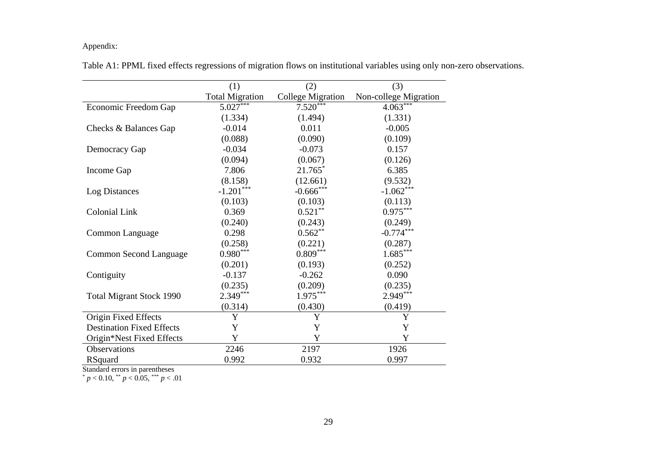#### Appendix:

|                                  | (1)                    | (2)                      | (3)                   |
|----------------------------------|------------------------|--------------------------|-----------------------|
|                                  | <b>Total Migration</b> | <b>College Migration</b> | Non-college Migration |
| Economic Freedom Gap             | $5.027***$             | $7.520***$               | $4.063***$            |
|                                  | (1.334)                | (1.494)                  | (1.331)               |
| Checks & Balances Gap            | $-0.014$               | 0.011                    | $-0.005$              |
|                                  | (0.088)                | (0.090)                  | (0.109)               |
| Democracy Gap                    | $-0.034$               | $-0.073$                 | 0.157                 |
|                                  | (0.094)                | (0.067)                  | (0.126)               |
| Income Gap                       | 7.806                  | $21.765*$                | 6.385                 |
|                                  | (8.158)                | (12.661)                 | (9.532)               |
| Log Distances                    | $-1.201***$            | $-0.666$ ***             | $-1.062***$           |
|                                  | (0.103)                | (0.103)                  | (0.113)               |
| Colonial Link                    | 0.369                  | $0.521***$               | $0.975***$            |
|                                  | (0.240)                | (0.243)                  | (0.249)               |
| Common Language                  | 0.298                  | $0.562**$                | $-0.774***$           |
|                                  | (0.258)                | (0.221)                  | (0.287)               |
| Common Second Language           | $0.980***$             | $0.809***$               | $1.685***$            |
|                                  | (0.201)                | (0.193)                  | (0.252)               |
| Contiguity                       | $-0.137$               | $-0.262$                 | 0.090                 |
|                                  | (0.235)                | (0.209)                  | (0.235)               |
| <b>Total Migrant Stock 1990</b>  | $2.349***$             | $1.975***$               | $2.949***$            |
|                                  | (0.314)                | (0.430)                  | (0.419)               |
| Origin Fixed Effects             | Y                      | Y                        | Y                     |
| <b>Destination Fixed Effects</b> | Y                      | Y                        | Y                     |
| Origin*Nest Fixed Effects        | Y                      | Y                        | Y                     |
| Observations                     | 2246                   | 2197                     | 1926                  |
| <b>RSquard</b>                   | 0.992                  | 0.932                    | 0.997                 |

Table A1: PPML fixed effects regressions of migration flows on institutional variables using only non-zero observations.

Standard errors in parentheses<br>  $p < 0.10$ ,  $p < 0.05$ ,  $p > 0.01$